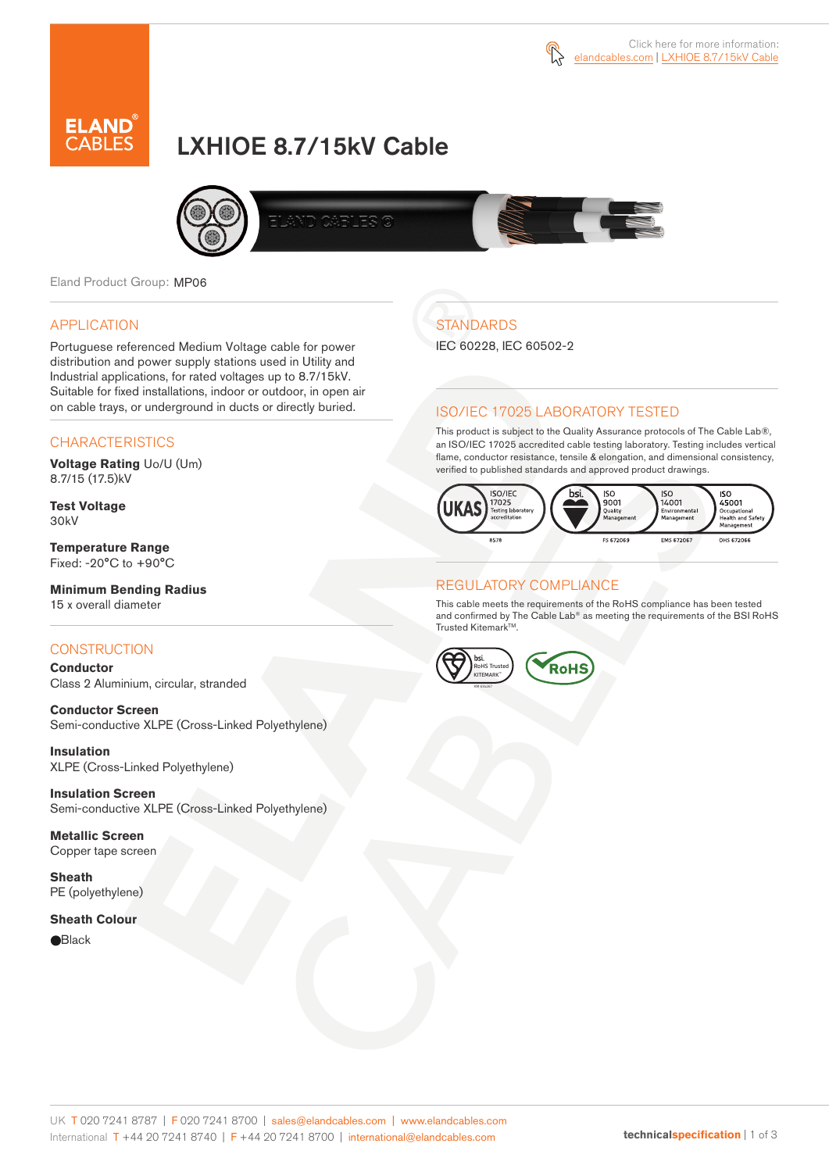



# LXHIOE 8.7/15kV Cable



Eland Product Group: MP06

#### APPLICATION

Portuguese referenced Medium Voltage cable for power distribution and power supply stations used in Utility and Industrial applications, for rated voltages up to 8.7/15kV. Suitable for fixed installations, indoor or outdoor, in open air on cable trays, or underground in ducts or directly buried.

#### **CHARACTERISTICS**

**Voltage Rating** Uo/U (Um) 8.7/15 (17.5)kV

**Test Voltage** 30kV

**Temperature Range** Fixed: -20°C to +90°C

**Minimum Bending Radius** 15 x overall diameter

#### **CONSTRUCTION**

**Conductor**  Class 2 Aluminium, circular, stranded

**Conductor Screen** Semi-conductive XLPE (Cross-Linked Polyethylene)

**Insulation** XLPE (Cross-Linked Polyethylene)

**Insulation Screen** Semi-conductive XLPE (Cross-Linked Polyethylene)

**Metallic Screen** Copper tape screen

**Sheath** PE (polyethylene)

#### **Sheath Colour**

**e**Black

# **STANDARDS**

IEC 60228, IEC 60502-2

#### ISO/IEC 17025 LABORATORY TESTED

This product is subject to the Quality Assurance protocols of The Cable Lab®, an ISO/IEC 17025 accredited cable testing laboratory. Testing includes vertical flame, conductor resistance, tensile & elongation, and dimensional consistency, verified to published standards and approved product drawings.



#### REGULATORY COMPLIANCE

This cable meets the requirements of the RoHS compliance has been tested and confirmed by The Cable Lab® as meeting the requirements of the BSI RoHS Trusted Kitemark™.

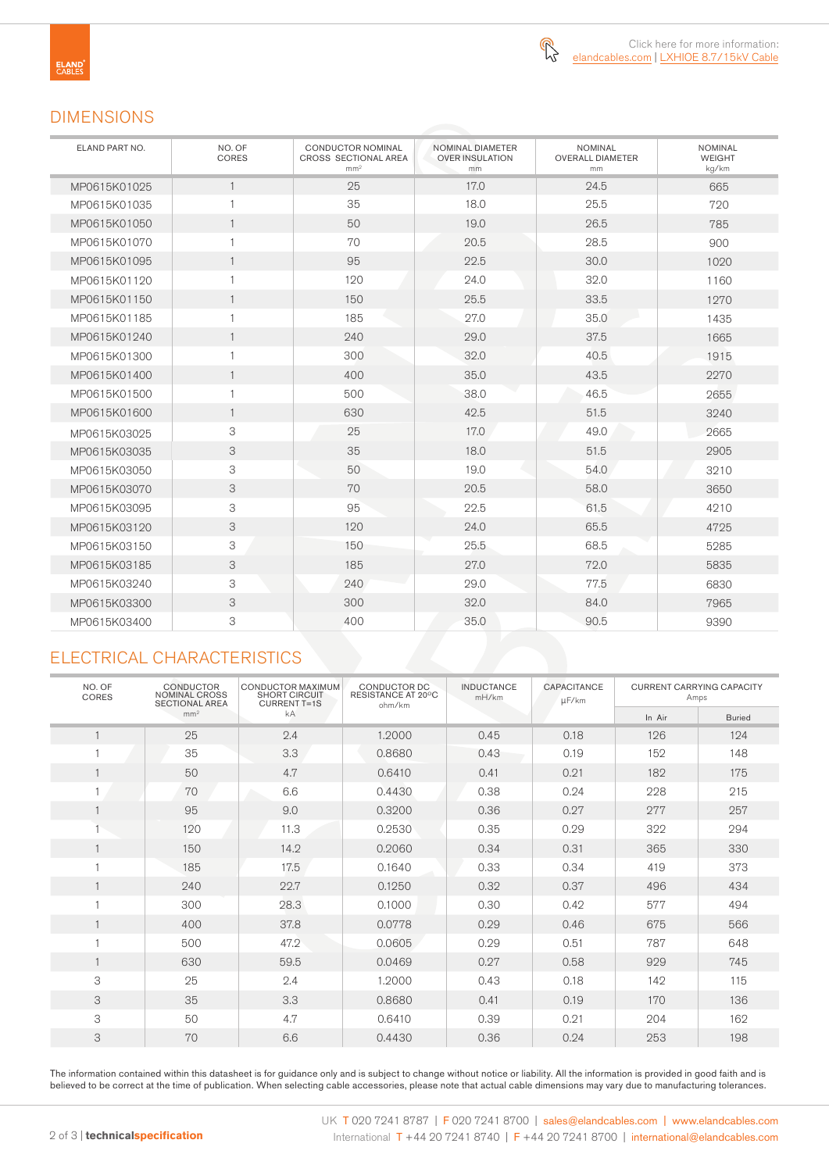

### DIMENSIONS

| ELAND PART NO. | NO. OF<br>CORES | <b>CONDUCTOR NOMINAL</b><br>NOMINAL DIAMETER<br><b>CROSS SECTIONAL AREA</b><br><b>OVER INSULATION</b><br>mm <sup>2</sup><br>mm |      | <b>NOMINAL</b><br><b>OVERALL DIAMETER</b><br>mm | <b>NOMINAL</b><br><b>WEIGHT</b><br>kg/km |  |
|----------------|-----------------|--------------------------------------------------------------------------------------------------------------------------------|------|-------------------------------------------------|------------------------------------------|--|
| MP0615K01025   | $\mathbf{1}$    | 25                                                                                                                             | 17.0 | 24.5                                            | 665                                      |  |
| MP0615K01035   | $\mathbf{1}$    | 35                                                                                                                             | 18.0 | 25.5                                            | 720                                      |  |
| MP0615K01050   | $\overline{1}$  | 50                                                                                                                             | 19.0 | 26.5                                            | 785                                      |  |
| MP0615K01070   | $\mathbf{1}$    | 70                                                                                                                             | 20.5 | 28.5                                            | 900                                      |  |
| MP0615K01095   | $\mathbf{1}$    | 95                                                                                                                             | 22.5 | 30.0                                            | 1020                                     |  |
| MP0615K01120   | $\mathbf{1}$    | 120                                                                                                                            | 24.0 | 32.0                                            | 1160                                     |  |
| MP0615K01150   | $\mathbf{1}$    | 150                                                                                                                            | 25.5 | 33.5                                            | 1270                                     |  |
| MP0615K01185   | $\mathbf{1}$    | 185                                                                                                                            | 27.0 | 35.0                                            | 1435                                     |  |
| MP0615K01240   | $\mathbf{1}$    | 240                                                                                                                            | 29.0 | 37.5                                            | 1665                                     |  |
| MP0615K01300   | $\mathbf{1}$    | 300                                                                                                                            | 32.0 | 40.5                                            | 1915                                     |  |
| MP0615K01400   | $\mathbf{1}$    | 400                                                                                                                            | 35.0 | 43.5                                            | 2270                                     |  |
| MP0615K01500   | $\mathbf{1}$    | 500                                                                                                                            | 38.0 | 46.5                                            | 2655                                     |  |
| MP0615K01600   | $\mathbf{1}$    | 630                                                                                                                            | 42.5 | 51.5                                            | 3240                                     |  |
| MP0615K03025   | 3               | 25                                                                                                                             | 17.0 | 49.0                                            | 2665                                     |  |
| MP0615K03035   | 3               | 35                                                                                                                             | 18.0 | 51.5                                            | 2905                                     |  |
| MP0615K03050   | 3               | 50                                                                                                                             | 19.0 | 54.0                                            | 3210                                     |  |
| MP0615K03070   | 3               | 70                                                                                                                             | 20.5 | 58.0                                            | 3650                                     |  |
| MP0615K03095   | 3               | 95                                                                                                                             | 22.5 | 61.5                                            | 4210                                     |  |
| MP0615K03120   | 3               | 120                                                                                                                            | 24.0 | 65.5                                            | 4725                                     |  |
| MP0615K03150   | 3               | 150                                                                                                                            | 25.5 | 68.5                                            | 5285                                     |  |
| MP0615K03185   | 3               | 185                                                                                                                            | 27.0 | 72.0                                            | 5835                                     |  |
| MP0615K03240   | 3               | 240                                                                                                                            | 29.0 | 77.5                                            | 6830                                     |  |
| MP0615K03300   | 3               | 300                                                                                                                            | 32.0 | 84.0                                            | 7965                                     |  |
| MP0615K03400   | 3               | 400                                                                                                                            | 35.0 | 90.5                                            | 9390                                     |  |

# ELECTRICAL CHARACTERISTICS

| NO. OF<br>CORES | <b>CONDUCTOR</b><br><b>NOMINAL CROSS</b><br><b>SECTIONAL AREA</b> | CONDUCTOR MAXIMUM<br><b>SHORT CIRCUIT</b><br><b>CURRENT T=1S</b> | CONDUCTOR DC<br>RESISTANCE AT 20°C<br>ohm/km | <b>INDUCTANCE</b><br>mH/km | <b>CAPACITANCE</b><br>µF/km | <b>CURRENT CARRYING CAPACITY</b><br>Amps |               |
|-----------------|-------------------------------------------------------------------|------------------------------------------------------------------|----------------------------------------------|----------------------------|-----------------------------|------------------------------------------|---------------|
|                 | mm <sup>2</sup>                                                   | kA                                                               |                                              |                            |                             | In Air                                   | <b>Buried</b> |
|                 | 25                                                                | 2.4                                                              | 1.2000                                       | 0.45                       | 0.18                        | 126                                      | 124           |
|                 | 35                                                                | 3.3                                                              | 0.8680                                       | 0.43                       | 0.19                        | 152                                      | 148           |
|                 | 50                                                                | 4.7                                                              | 0.6410                                       | 0.41                       | 0.21                        | 182                                      | 175           |
|                 | 70                                                                | 6.6                                                              | 0.4430                                       | 0.38                       | 0.24                        | 228                                      | 215           |
|                 | 95                                                                | 9.0                                                              | 0.3200                                       | 0.36                       | 0.27                        | 277                                      | 257           |
|                 | 120                                                               | 11.3                                                             | 0.2530                                       | 0.35                       | 0.29                        | 322                                      | 294           |
| $\mathbf{1}$    | 150                                                               | 14.2                                                             | 0.2060                                       | 0.34                       | 0.31                        | 365                                      | 330           |
|                 | 185                                                               | 17.5                                                             | 0.1640                                       | 0.33                       | 0.34                        | 419                                      | 373           |
| $\mathbf{1}$    | 240                                                               | 22.7                                                             | 0.1250                                       | 0.32                       | 0.37                        | 496                                      | 434           |
|                 | 300                                                               | 28.3                                                             | 0.1000                                       | 0.30                       | 0.42                        | 577                                      | 494           |
|                 | 400                                                               | 37.8                                                             | 0.0778                                       | 0.29                       | 0.46                        | 675                                      | 566           |
|                 | 500                                                               | 47.2                                                             | 0.0605                                       | 0.29                       | 0.51                        | 787                                      | 648           |
|                 | 630                                                               | 59.5                                                             | 0.0469                                       | 0.27                       | 0.58                        | 929                                      | 745           |
| 3               | 25                                                                | 2.4                                                              | 1.2000                                       | 0.43                       | 0.18                        | 142                                      | 115           |
| 3               | 35                                                                | 3.3                                                              | 0.8680                                       | 0.41                       | 0.19                        | 170                                      | 136           |
| 3               | 50                                                                | 4.7                                                              | 0.6410                                       | 0.39                       | 0.21                        | 204                                      | 162           |
| 3               | 70                                                                | 6.6                                                              | 0.4430                                       | 0.36                       | 0.24                        | 253                                      | 198           |

The information contained within this datasheet is for guidance only and is subject to change without notice or liability. All the information is provided in good faith and is believed to be correct at the time of publication. When selecting cable accessories, please note that actual cable dimensions may vary due to manufacturing tolerances.